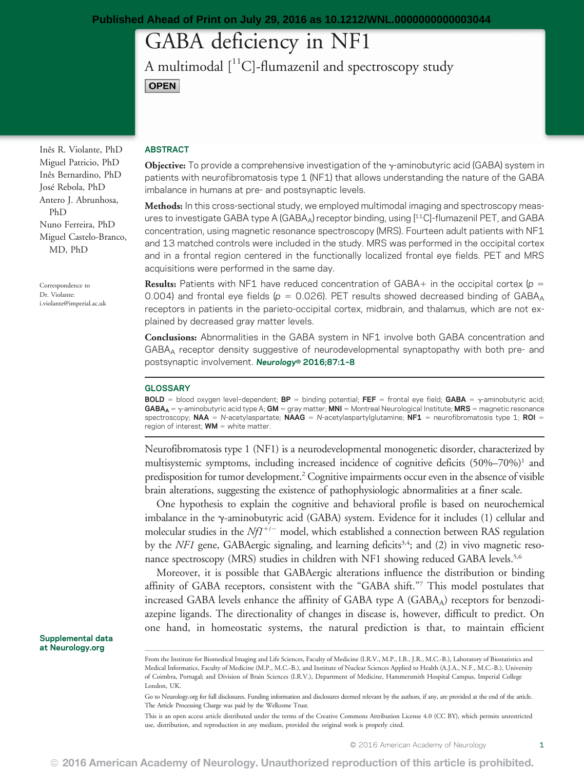# GABA deficiency in NF1

A multimodal  $[$ <sup>11</sup>C]-flumazenil and spectroscopy study **OPEN** 

Inês R. Violante, PhD Miguel Patricio, PhD Inês Bernardino, PhD José Rebola, PhD Antero J. Abrunhosa, PhD Nuno Ferreira, PhD Miguel Castelo-Branco, MD, PhD

Correspondence to Dr. Violante: [i.violante@imperial.ac.uk](mailto:i.violante@imperial.ac.uk)

### ABSTRACT

Objective: To provide a comprehensive investigation of the y-aminobutyric acid (GABA) system in patients with neurofibromatosis type 1 (NF1) that allows understanding the nature of the GABA imbalance in humans at pre- and postsynaptic levels.

Methods: In this cross-sectional study, we employed multimodal imaging and spectroscopy measures to investigate GABA type A (GABAA) receptor binding, using [11C]-flumazenil PET, and GABA concentration, using magnetic resonance spectroscopy (MRS). Fourteen adult patients with NF1 and 13 matched controls were included in the study. MRS was performed in the occipital cortex and in a frontal region centered in the functionally localized frontal eye fields. PET and MRS acquisitions were performed in the same day.

**Results:** Patients with NF1 have reduced concentration of GABA+ in the occipital cortex ( $p =$ 0.004) and frontal eye fields ( $p = 0.026$ ). PET results showed decreased binding of GABA<sub>A</sub> receptors in patients in the parieto-occipital cortex, midbrain, and thalamus, which are not explained by decreased gray matter levels.

Conclusions: Abnormalities in the GABA system in NF1 involve both GABA concentration and GABAA receptor density suggestive of neurodevelopmental synaptopathy with both pre- and postsynaptic involvement. Neurology® 2016;87:1–<sup>8</sup>

#### **GLOSSARY**

**BOLD** = blood oxygen level-dependent; **BP** = binding potential; **FEF** = frontal eye field; **GABA** =  $\gamma$ -aminobutyric acid;  $GABA_A = \gamma$ -aminobutyric acid type A;  $GM =$  gray matter; MNI = Montreal Neurological Institute; MRS = magnetic resonance spectroscopy; NAA = N-acetylaspartate; NAAG = N-acetylaspartylglutamine; NF1 = neurofibromatosis type 1; ROI = region of interest;  $WM =$  white matter.

Neurofibromatosis type 1 (NF1) is a neurodevelopmental monogenetic disorder, characterized by multisystemic symptoms, including increased incidence of cognitive deficits  $(50\%-70\%)$ <sup>1</sup> and predisposition for tumor development.2 Cognitive impairments occur even in the absence of visible brain alterations, suggesting the existence of pathophysiologic abnormalities at a finer scale.

One hypothesis to explain the cognitive and behavioral profile is based on neurochemical imbalance in the  $\gamma$ -aminobutyric acid (GABA) system. Evidence for it includes (1) cellular and molecular studies in the  $Nf1^{+/-}$  model, which established a connection between RAS regulation by the  $NFI$  gene, GABAergic signaling, and learning deficits<sup>3,4</sup>; and (2) in vivo magnetic resonance spectroscopy (MRS) studies in children with NF1 showing reduced GABA levels.<sup>5,6</sup>

Moreover, it is possible that GABAergic alterations influence the distribution or binding affinity of GABA receptors, consistent with the "GABA shift."<sup>7</sup> This model postulates that increased GABA levels enhance the affinity of GABA type  $A$  (GABA $_A$ ) receptors for benzodiazepine ligands. The directionality of changes in disease is, however, difficult to predict. On one hand, in homeostatic systems, the natural prediction is that, to maintain efficient

Supplemental data at [Neurology.org](http://neurology.org/lookup/doi/10.1212/WNL.0000000000003044)

Go to [Neurology.org](http://neurology.org/lookup/doi/10.1212/WNL.0000000000003044) for full disclosures. Funding information and disclosures deemed relevant by the authors, if any, are provided at the end of the article. The Article Processing Charge was paid by the Wellcome Trust.

This is an open access article distributed under the terms of the [Creative Commons Attribution License 4.0 \(CC BY\),](http://creativecommons.org/licenses/by/4.0/) which permits unrestricted use, distribution, and reproduction in any medium, provided the original work is properly cited.

From the Institute for Biomedical Imaging and Life Sciences, Faculty of Medicine (I.R.V., M.P., I.B., J.R., M.C.-B.), Laboratory of Biostatistics and Medical Informatics, Faculty of Medicine (M.P., M.C.-B.), and Institute of Nuclear Sciences Applied to Health (A.J.A., N.F., M.C.-B.), University of Coimbra, Portugal; and Division of Brain Sciences (I.R.V.), Department of Medicine, Hammersmith Hospital Campus, Imperial College London, UK.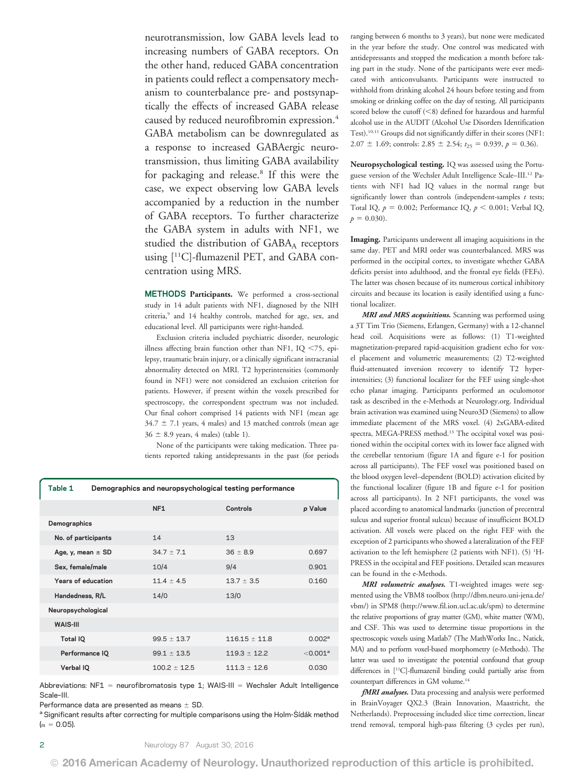neurotransmission, low GABA levels lead to increasing numbers of GABA receptors. On the other hand, reduced GABA concentration in patients could reflect a compensatory mechanism to counterbalance pre- and postsynaptically the effects of increased GABA release caused by reduced neurofibromin expression.4 GABA metabolism can be downregulated as a response to increased GABAergic neurotransmission, thus limiting GABA availability for packaging and release.<sup>8</sup> If this were the case, we expect observing low GABA levels accompanied by a reduction in the number of GABA receptors. To further characterize the GABA system in adults with NF1, we studied the distribution of  $GABA_A$  receptors using [11C]-flumazenil PET, and GABA concentration using MRS.

METHODS Participants. We performed a cross-sectional study in 14 adult patients with NF1, diagnosed by the NIH criteria,<sup>9</sup> and 14 healthy controls, matched for age, sex, and educational level. All participants were right-handed.

Exclusion criteria included psychiatric disorder, neurologic illness affecting brain function other than NF1, IQ  $\leq$ 75, epilepsy, traumatic brain injury, or a clinically significant intracranial abnormality detected on MRI. T2 hyperintensities (commonly found in NF1) were not considered an exclusion criterion for patients. However, if present within the voxels prescribed for spectroscopy, the correspondent spectrum was not included. Our final cohort comprised 14 patients with NF1 (mean age  $34.7 \pm 7.1$  years, 4 males) and 13 matched controls (mean age  $36 \pm 8.9$  years, 4 males) (table 1).

None of the participants were taking medication. Three patients reported taking antidepressants in the past (for periods

|              | Table 1               | Demographics and neuropsychological testing performance |                  |                   |                        |
|--------------|-----------------------|---------------------------------------------------------|------------------|-------------------|------------------------|
|              |                       |                                                         | NF <sub>1</sub>  | Controls          | p Value                |
| Demographics |                       |                                                         |                  |                   |                        |
|              | No. of participants   |                                                         | 14               | 13                |                        |
|              | Age, y, mean $\pm$ SD |                                                         | $34.7 \pm 7.1$   | $36 \pm 8.9$      | 0.697                  |
|              | Sex, female/male      |                                                         | 10/4             | 9/4               | 0.901                  |
|              | Years of education    |                                                         | $11.4 \pm 4.5$   | $13.7 \pm 3.5$    | 0.160                  |
|              | Handedness, R/L       |                                                         | 14/0             | 13/0              |                        |
|              | Neuropsychological    |                                                         |                  |                   |                        |
|              | <b>WAIS-III</b>       |                                                         |                  |                   |                        |
|              | Total IQ              |                                                         | $99.5 \pm 13.7$  | $116.15 \pm 11.8$ | 0.002 <sup>a</sup>     |
|              | Performance IQ        |                                                         | $99.1 \pm 13.5$  | $119.3 \pm 12.2$  | $<$ 0.001 <sup>a</sup> |
|              | Verbal IQ             |                                                         | $100.2 \pm 12.5$ | $111.3 \pm 12.6$  | 0.030                  |
|              |                       |                                                         |                  |                   |                        |

Abbreviations:  $NF1$  = neurofibromatosis type 1; WAIS-III = Wechsler Adult Intelligence Scale–III.

Performance data are presented as means  $\pm$  SD.

<sup>a</sup> Significant results after correcting for multiple comparisons using the Holm-Šídák method  $(\alpha = 0.05)$ .

ranging between 6 months to 3 years), but none were medicated in the year before the study. One control was medicated with antidepressants and stopped the medication a month before taking part in the study. None of the participants were ever medicated with anticonvulsants. Participants were instructed to withhold from drinking alcohol 24 hours before testing and from smoking or drinking coffee on the day of testing. All participants scored below the cutoff  $(<\!8)$  defined for hazardous and harmful alcohol use in the AUDIT (Alcohol Use Disorders Identification Test).10,11 Groups did not significantly differ in their scores (NF1: 2.07  $\pm$  1.69; controls: 2.85  $\pm$  2.54;  $t_{25}$  = 0.939,  $p$  = 0.36).

Neuropsychological testing. IQ was assessed using the Portuguese version of the Wechsler Adult Intelligence Scale–III.12 Patients with NF1 had IQ values in the normal range but significantly lower than controls (independent-samples  $t$  tests; Total IQ,  $p = 0.002$ ; Performance IQ,  $p < 0.001$ ; Verbal IQ,  $p = 0.030$ .

Imaging. Participants underwent all imaging acquisitions in the same day. PET and MRI order was counterbalanced. MRS was performed in the occipital cortex, to investigate whether GABA deficits persist into adulthood, and the frontal eye fields (FEFs). The latter was chosen because of its numerous cortical inhibitory circuits and because its location is easily identified using a functional localizer.

MRI and MRS acquisitions. Scanning was performed using a 3T Tim Trio (Siemens, Erlangen, Germany) with a 12-channel head coil. Acquisitions were as follows: (1) T1-weighted magnetization-prepared rapid-acquisition gradient echo for voxel placement and volumetric measurements; (2) T2-weighted fluid-attenuated inversion recovery to identify T2 hyperintensities; (3) functional localizer for the FEF using single-shot echo planar imaging. Participants performed an oculomotor task as described in the e-Methods at [Neurology.org](http://neurology.org/lookup/doi/10.1212/WNL.0000000000003044). Individual brain activation was examined using Neuro3D (Siemens) to allow immediate placement of the MRS voxel. (4) 2xGABA-edited spectra, MEGA-PRESS method.<sup>13</sup> The occipital voxel was positioned within the occipital cortex with its lower face aligned with the cerebellar tentorium (figure 1A and figure e-1 for position across all participants). The FEF voxel was positioned based on the blood oxygen level–dependent (BOLD) activation elicited by the functional localizer (figure 1B and figure e-1 for position across all participants). In 2 NF1 participants, the voxel was placed according to anatomical landmarks (junction of precentral sulcus and superior frontal sulcus) because of insufficient BOLD activation. All voxels were placed on the right FEF with the exception of 2 participants who showed a lateralization of the FEF activation to the left hemisphere (2 patients with NF1). (5) <sup>1</sup>H-PRESS in the occipital and FEF positions. Detailed scan measures can be found in the e-Methods.

MRI volumetric analyses. T1-weighted images were segmented using the VBM8 toolbox [\(http://dbm.neuro.uni-jena.de/](http://dbm.neuro.uni-jena.de/vbm/) [vbm/\)](http://dbm.neuro.uni-jena.de/vbm/) in SPM8 ([http://www.fil.ion.ucl.ac.uk/spm\)](http://www.fil.ion.ucl.ac.uk/spm) to determine the relative proportions of gray matter (GM), white matter (WM), and CSF. This was used to determine tissue proportions in the spectroscopic voxels using Matlab7 (The MathWorks Inc., Natick, MA) and to perform voxel-based morphometry (e-Methods). The latter was used to investigate the potential confound that group differences in [11C]-flumazenil binding could partially arise from counterpart differences in GM volume.<sup>14</sup>

fMRI analyses. Data processing and analysis were performed in BrainVoyager QX2.3 (Brain Innovation, Maastricht, the Netherlands). Preprocessing included slice time correction, linear trend removal, temporal high-pass filtering (3 cycles per run),

© 2016 American Academy of Neurology. Unauthorized reproduction of this article is prohibited.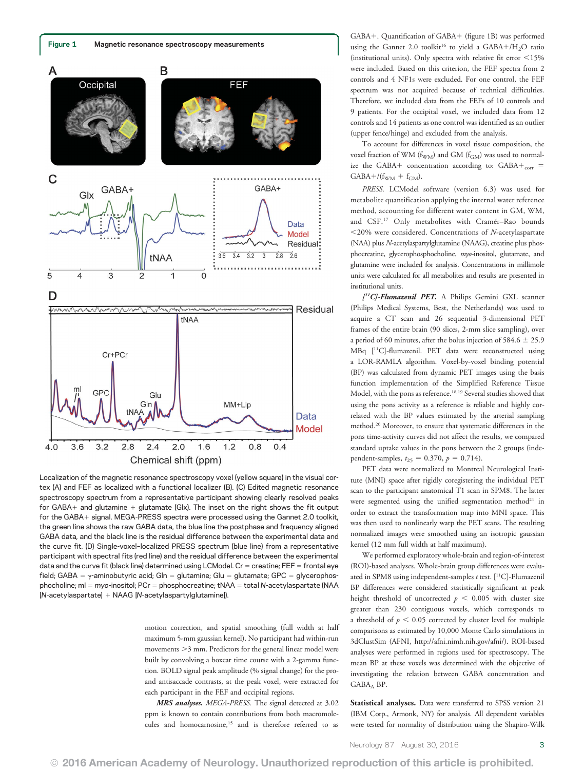



Localization of the magnetic resonance spectroscopy voxel (yellow square) in the visual cortex (A) and FEF as localized with a functional localizer (B). (C) Edited magnetic resonance spectroscopy spectrum from a representative participant showing clearly resolved peaks for GABA $+$  and glutamine  $+$  glutamate (Glx). The inset on the right shows the fit output for the GABA+ signal. MEGA-PRESS spectra were processed using the Gannet 2.0 toolkit, the green line shows the raw GABA data, the blue line the postphase and frequency aligned GABA data, and the black line is the residual difference between the experimental data and the curve fit. (D) Single-voxel–localized PRESS spectrum (blue line) from a representative participant with spectral fits (red line) and the residual difference between the experimental data and the curve fit (black line) determined using LCModel. Cr = creatine; FEF = frontal eye field; GABA =  $\gamma$ -aminobutyric acid; Gln = glutamine; Glu = glutamate; GPC = glycerophosphocholine; mI = myo-inositol; PCr = phosphocreatine; tNAA = total N-acetylaspartate (NAA  $[N$ -acetylaspartate $]+N$ AAG  $[N$ -acetylaspartylglutamine]).

motion correction, and spatial smoothing (full width at half maximum 5-mm gaussian kernel). No participant had within-run movements  $>3$  mm. Predictors for the general linear model were built by convolving a boxcar time course with a 2-gamma function. BOLD signal peak amplitude (% signal change) for the proand antisaccade contrasts, at the peak voxel, were extracted for each participant in the FEF and occipital regions.

MRS analyses. MEGA-PRESS. The signal detected at 3.02 ppm is known to contain contributions from both macromolecules and homocarnosine,<sup>15</sup> and is therefore referred to as GABA+. Quantification of GABA+ (figure 1B) was performed using the Gannet 2.0 toolkit<sup>16</sup> to yield a GABA+/H<sub>2</sub>O ratio (institutional units). Only spectra with relative fit error  $<$  15% were included. Based on this criterion, the FEF spectra from 2 controls and 4 NF1s were excluded. For one control, the FEF spectrum was not acquired because of technical difficulties. Therefore, we included data from the FEFs of 10 controls and 9 patients. For the occipital voxel, we included data from 12 controls and 14 patients as one control was identified as an outlier (upper fence/hinge) and excluded from the analysis.

To account for differences in voxel tissue composition, the voxel fraction of WM ( $f_{WM}$ ) and GM ( $f_{GM}$ ) was used to normalize the GABA+ concentration according to:  $GABA+_{corr}$  =  $GABA+/(f_{WM} + f_{GM}).$ 

PRESS. LCModel software (version 6.3) was used for metabolite quantification applying the internal water reference method, accounting for different water content in GM, WM, and CSF.17 Only metabolites with Cramér–Rao bounds  $<$ 20% were considered. Concentrations of N-acetylaspartate (NAA) plus N-acetylaspartylglutamine (NAAG), creatine plus phosphocreatine, glycerophosphocholine, myo-inositol, glutamate, and glutamine were included for analysis. Concentrations in millimole units were calculated for all metabolites and results are presented in institutional units.

[<sup>11</sup>C]-Flumazenil PET. A Philips Gemini GXL scanner (Philips Medical Systems, Best, the Netherlands) was used to acquire a CT scan and 26 sequential 3-dimensional PET frames of the entire brain (90 slices, 2-mm slice sampling), over a period of 60 minutes, after the bolus injection of 584.6  $\pm$  25.9 MBq [11C]-flumazenil. PET data were reconstructed using a LOR-RAMLA algorithm. Voxel-by-voxel binding potential (BP) was calculated from dynamic PET images using the basis function implementation of the Simplified Reference Tissue Model, with the pons as reference.18,19 Several studies showed that using the pons activity as a reference is reliable and highly correlated with the BP values estimated by the arterial sampling method.20 Moreover, to ensure that systematic differences in the pons time-activity curves did not affect the results, we compared standard uptake values in the pons between the 2 groups (independent-samples,  $t_{25} = 0.370$ ,  $p = 0.714$ ).

PET data were normalized to Montreal Neurological Institute (MNI) space after rigidly coregistering the individual PET scan to the participant anatomical T1 scan in SPM8. The latter were segmented using the unified segmentation method<sup>21</sup> in order to extract the transformation map into MNI space. This was then used to nonlinearly warp the PET scans. The resulting normalized images were smoothed using an isotropic gaussian kernel (12 mm full width at half maximum).

We performed exploratory whole-brain and region-of-interest (ROI)-based analyses. Whole-brain group differences were evaluated in SPM8 using independent-samples  $t$  test. [<sup>11</sup>C]-Flumazenil BP differences were considered statistically significant at peak height threshold of uncorrected  $p < 0.005$  with cluster size greater than 230 contiguous voxels, which corresponds to a threshold of  $p < 0.05$  corrected by cluster level for multiple comparisons as estimated by 10,000 Monte Carlo simulations in 3dClustSim (AFNI, [http://afni.nimh.nih.gov/afni/\)](http://afni.nimh.nih.gov/afni/). ROI-based analyses were performed in regions used for spectroscopy. The mean BP at these voxels was determined with the objective of investigating the relation between GABA concentration and GABAA BP.

Statistical analyses. Data were transferred to SPSS version 21 (IBM Corp., Armonk, NY) for analysis. All dependent variables were tested for normality of distribution using the Shapiro-Wilk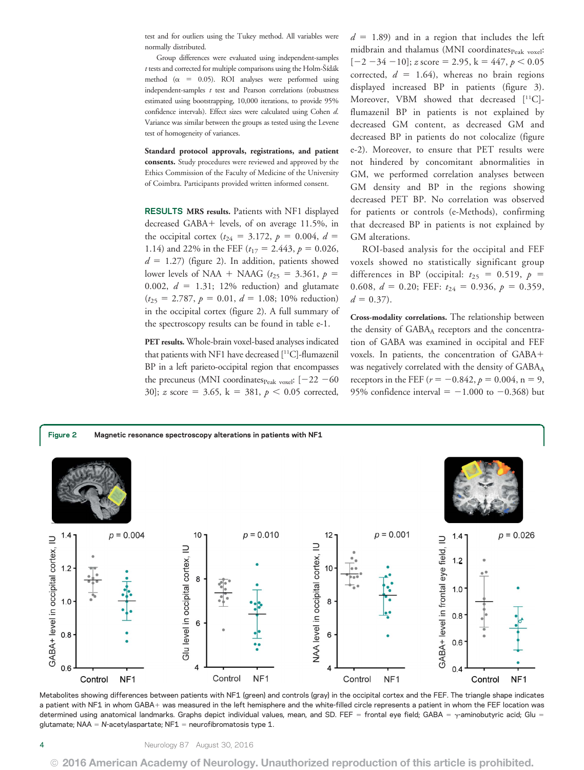test and for outliers using the Tukey method. All variables were normally distributed.

Group differences were evaluated using independent-samples  $t$  tests and corrected for multiple comparisons using the Holm-Šídák method ( $\alpha$  = 0.05). ROI analyses were performed using independent-samples  $t$  test and Pearson correlations (robustness estimated using bootstrapping, 10,000 iterations, to provide 95% confidence intervals). Effect sizes were calculated using Cohen d. Variance was similar between the groups as tested using the Levene test of homogeneity of variances.

Standard protocol approvals, registrations, and patient consents. Study procedures were reviewed and approved by the Ethics Commission of the Faculty of Medicine of the University of Coimbra. Participants provided written informed consent.

RESULTS MRS results. Patients with NF1 displayed decreased GABA+ levels, of on average 11.5%, in the occipital cortex ( $t_{24} = 3.172$ ,  $p = 0.004$ ,  $d =$ 1.14) and 22% in the FEF ( $t_{17} = 2.443$ ,  $p = 0.026$ ,  $d = 1.27$ ) (figure 2). In addition, patients showed lower levels of NAA + NAAG ( $t_{25}$  = 3.361,  $p =$ 0.002,  $d = 1.31$ ; 12% reduction) and glutamate  $(t_{25} = 2.787, p = 0.01, d = 1.08; 10\%$  reduction) in the occipital cortex (figure 2). A full summary of the spectroscopy results can be found in table e-1.

PET results. Whole-brain voxel-based analyses indicated that patients with NF1 have decreased [11C]-flumazenil BP in a left parieto-occipital region that encompasses the precuneus (MNI coordinates $_{\text{Peak voxel}}$ : [-22 -60 30]; z score = 3.65, k = 381,  $p < 0.05$  corrected,

 $d = 1.89$ ) and in a region that includes the left midbrain and thalamus (MNI coordinates $_{\rm Peak\ voxel}$ :  $[-2 -34 -10]$ ; z score = 2.95, k = 447, p < 0.05 corrected,  $d = 1.64$ ), whereas no brain regions displayed increased BP in patients (figure 3). Moreover, VBM showed that decreased  $[$ <sup>11</sup>C $]$ flumazenil BP in patients is not explained by decreased GM content, as decreased GM and decreased BP in patients do not colocalize (figure e-2). Moreover, to ensure that PET results were not hindered by concomitant abnormalities in GM, we performed correlation analyses between GM density and BP in the regions showing decreased PET BP. No correlation was observed for patients or controls (e-Methods), confirming that decreased BP in patients is not explained by GM alterations.

ROI-based analysis for the occipital and FEF voxels showed no statistically significant group differences in BP (occipital:  $t_{25} = 0.519$ ,  $p =$ 0.608,  $d = 0.20$ ; FEF:  $t_{24} = 0.936$ ,  $p = 0.359$ ,  $d = 0.37$ .

Cross-modality correlations. The relationship between the density of GABAA receptors and the concentration of GABA was examined in occipital and FEF voxels. In patients, the concentration of GABA+ was negatively correlated with the density of  $GABA_A$ receptors in the FEF ( $r = -0.842$ ,  $p = 0.004$ , n = 9, 95% confidence interval =  $-1.000$  to  $-0.368$ ) but



Metabolites showing differences between patients with NF1 (green) and controls (gray) in the occipital cortex and the FEF. The triangle shape indicates a patient with NF1 in whom GABA+ was measured in the left hemisphere and the white-filled circle represents a patient in whom the FEF location was determined using anatomical landmarks. Graphs depict individual values, mean, and SD. FEF = frontal eye field; GABA =  $\gamma$ -aminobutyric acid; Glu = glutamate; NAA = N-acetylaspartate; NF1 = neurofibromatosis type 1.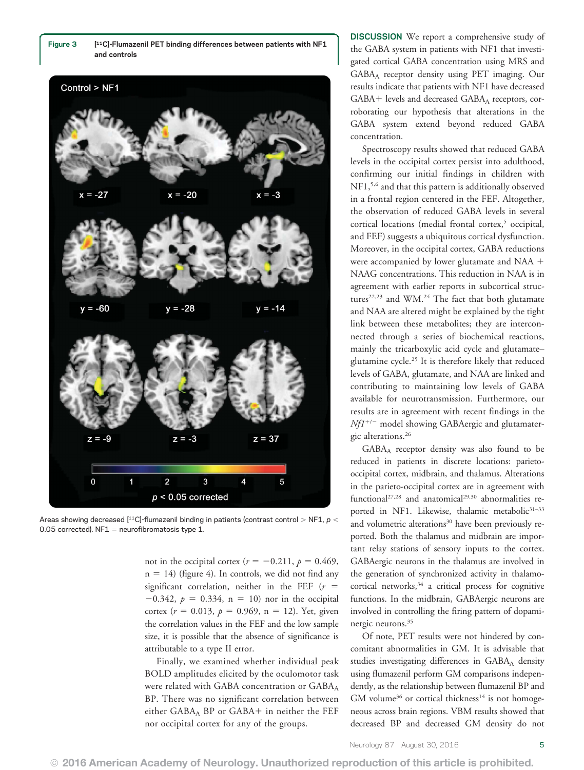



Areas showing decreased [11C]-flumazenil binding in patients (contrast control > NF1,  $p$  < 0.05 corrected).  $NF1$  = neurofibromatosis type 1.

not in the occipital cortex ( $r = -0.211$ ,  $p = 0.469$ ,  $n = 14$ ) (figure 4). In controls, we did not find any significant correlation, neither in the FEF ( $r =$  $-0.342$ ,  $p = 0.334$ ,  $n = 10$ ) nor in the occipital cortex ( $r = 0.013$ ,  $p = 0.969$ , n = 12). Yet, given the correlation values in the FEF and the low sample size, it is possible that the absence of significance is attributable to a type II error.

Finally, we examined whether individual peak BOLD amplitudes elicited by the oculomotor task were related with GABA concentration or GABAA BP. There was no significant correlation between either  $GABA<sub>A</sub>$  BP or  $GABA+$  in neither the FEF nor occipital cortex for any of the groups.

DISCUSSION We report a comprehensive study of the GABA system in patients with NF1 that investigated cortical GABA concentration using MRS and GABAA receptor density using PET imaging. Our results indicate that patients with NF1 have decreased  $GABA+$  levels and decreased  $GABA_A$  receptors, corroborating our hypothesis that alterations in the GABA system extend beyond reduced GABA concentration.

Spectroscopy results showed that reduced GABA levels in the occipital cortex persist into adulthood, confirming our initial findings in children with NF1,<sup>5,6</sup> and that this pattern is additionally observed in a frontal region centered in the FEF. Altogether, the observation of reduced GABA levels in several cortical locations (medial frontal cortex,<sup>5</sup> occipital, and FEF) suggests a ubiquitous cortical dysfunction. Moreover, in the occipital cortex, GABA reductions were accompanied by lower glutamate and NAA  $+$ NAAG concentrations. This reduction in NAA is in agreement with earlier reports in subcortical structures<sup>22,23</sup> and WM.<sup>24</sup> The fact that both glutamate and NAA are altered might be explained by the tight link between these metabolites; they are interconnected through a series of biochemical reactions, mainly the tricarboxylic acid cycle and glutamate– glutamine cycle.25 It is therefore likely that reduced levels of GABA, glutamate, and NAA are linked and contributing to maintaining low levels of GABA available for neurotransmission. Furthermore, our results are in agreement with recent findings in the  $Nf1^{+/-}$  model showing GABAergic and glutamatergic alterations.26

GABAA receptor density was also found to be reduced in patients in discrete locations: parietooccipital cortex, midbrain, and thalamus. Alterations in the parieto-occipital cortex are in agreement with functional<sup>27,28</sup> and anatomical<sup>29,30</sup> abnormalities reported in NF1. Likewise, thalamic metabolic<sup>31-33</sup> and volumetric alterations<sup>30</sup> have been previously reported. Both the thalamus and midbrain are important relay stations of sensory inputs to the cortex. GABAergic neurons in the thalamus are involved in the generation of synchronized activity in thalamocortical networks,<sup>34</sup> a critical process for cognitive functions. In the midbrain, GABAergic neurons are involved in controlling the firing pattern of dopaminergic neurons.35

Of note, PET results were not hindered by concomitant abnormalities in GM. It is advisable that studies investigating differences in GABAA density using flumazenil perform GM comparisons independently, as the relationship between flumazenil BP and  $GM$  volume<sup>36</sup> or cortical thickness<sup>14</sup> is not homogeneous across brain regions. VBM results showed that decreased BP and decreased GM density do not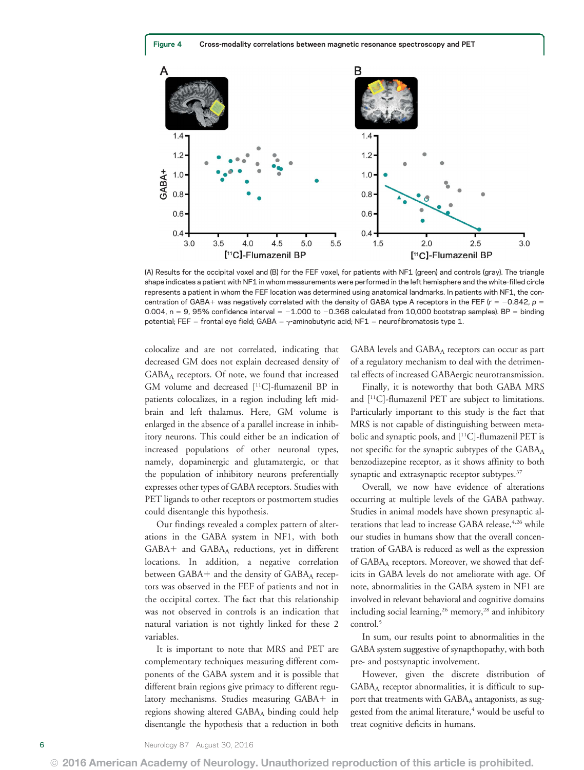

(A) Results for the occipital voxel and (B) for the FEF voxel, for patients with NF1 (green) and controls (gray). The triangle shape indicates a patient with NF1 in whom measurements were performed in the left hemisphere and the white-filled circle represents a patient in whom the FEF location was determined using anatomical landmarks. In patients with NF1, the concentration of GABA+ was negatively correlated with the density of GABA type A receptors in the FEF ( $r = -0.842$ , p = 0.004, n = 9, 95% confidence interval =  $-1.000$  to  $-0.368$  calculated from 10,000 bootstrap samples). BP = binding potential; FEF = frontal eye field; GABA =  $\gamma$ -aminobutyric acid; NF1 = neurofibromatosis type 1.

colocalize and are not correlated, indicating that decreased GM does not explain decreased density of GABA<sub>A</sub> receptors. Of note, we found that increased GM volume and decreased [11C]-flumazenil BP in patients colocalizes, in a region including left midbrain and left thalamus. Here, GM volume is enlarged in the absence of a parallel increase in inhibitory neurons. This could either be an indication of increased populations of other neuronal types, namely, dopaminergic and glutamatergic, or that the population of inhibitory neurons preferentially expresses other types of GABA receptors. Studies with PET ligands to other receptors or postmortem studies could disentangle this hypothesis.

Our findings revealed a complex pattern of alterations in the GABA system in NF1, with both  $GABA+$  and  $GABA<sub>A</sub>$  reductions, yet in different locations. In addition, a negative correlation between GABA+ and the density of  $GABA<sub>A</sub>$  receptors was observed in the FEF of patients and not in the occipital cortex. The fact that this relationship was not observed in controls is an indication that natural variation is not tightly linked for these 2 variables.

It is important to note that MRS and PET are complementary techniques measuring different components of the GABA system and it is possible that different brain regions give primacy to different regulatory mechanisms. Studies measuring GABA+ in regions showing altered GABAA binding could help disentangle the hypothesis that a reduction in both GABA levels and  $GABA_A$  receptors can occur as part of a regulatory mechanism to deal with the detrimental effects of increased GABAergic neurotransmission.

Finally, it is noteworthy that both GABA MRS and [11C]-flumazenil PET are subject to limitations. Particularly important to this study is the fact that MRS is not capable of distinguishing between metabolic and synaptic pools, and [11C]-flumazenil PET is not specific for the synaptic subtypes of the GABA<sub>A</sub> benzodiazepine receptor, as it shows affinity to both synaptic and extrasynaptic receptor subtypes.<sup>37</sup>

Overall, we now have evidence of alterations occurring at multiple levels of the GABA pathway. Studies in animal models have shown presynaptic alterations that lead to increase GABA release, 4,26 while our studies in humans show that the overall concentration of GABA is reduced as well as the expression of GABAA receptors. Moreover, we showed that deficits in GABA levels do not ameliorate with age. Of note, abnormalities in the GABA system in NF1 are involved in relevant behavioral and cognitive domains including social learning,<sup>26</sup> memory,<sup>28</sup> and inhibitory control.<sup>5</sup>

In sum, our results point to abnormalities in the GABA system suggestive of synapthopathy, with both pre- and postsynaptic involvement.

However, given the discrete distribution of GABA<sub>A</sub> receptor abnormalities, it is difficult to support that treatments with GABAA antagonists, as suggested from the animal literature,<sup>4</sup> would be useful to treat cognitive deficits in humans.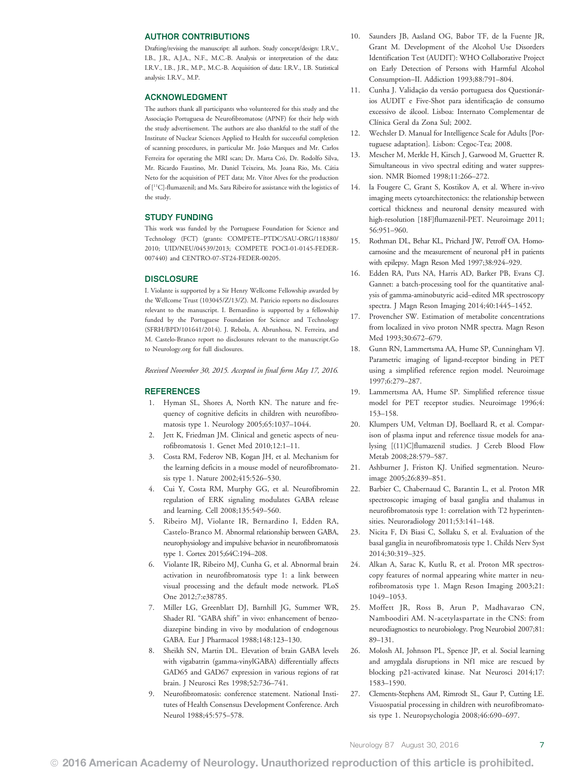#### AUTHOR CONTRIBUTIONS

Drafting/revising the manuscript: all authors. Study concept/design: I.R.V., I.B., J.R., A.J.A., N.F., M.C.-B. Analysis or interpretation of the data: I.R.V., I.B., J.R., M.P., M.C.-B. Acquisition of data: I.R.V., I.B. Statistical analysis: I.R.V., M.P.

#### ACKNOWLEDGMENT

The authors thank all participants who volunteered for this study and the Associação Portuguesa de Neurofibromatose (APNF) for their help with the study advertisement. The authors are also thankful to the staff of the Institute of Nuclear Sciences Applied to Health for successful completion of scanning procedures, in particular Mr. João Marques and Mr. Carlos Ferreira for operating the MRI scan; Dr. Marta Cró, Dr. Rodolfo Silva, Mr. Ricardo Faustino, Mr. Daniel Teixeira, Ms. Joana Rio, Ms. Cátia Neto for the acquisition of PET data; Mr. Vítor Alves for the production of [11C]-flumazenil; and Ms. Sara Ribeiro for assistance with the logistics of the study.

#### STUDY FUNDING

This work was funded by the Portuguese Foundation for Science and Technology (FCT) (grants: COMPETE–PTDC/SAU-ORG/118380/ 2010; UID/NEU/04539/2013; COMPETE POCI-01-0145-FEDER-007440) and CENTRO-07-ST24-FEDER-00205.

#### **DISCLOSURE**

I. Violante is supported by a Sir Henry Wellcome Fellowship awarded by the Wellcome Trust (103045/Z/13/Z). M. Patricio reports no disclosures relevant to the manuscript. I. Bernardino is supported by a fellowship funded by the Portuguese Foundation for Science and Technology (SFRH/BPD/101641/2014). J. Rebola, A. Abrunhosa, N. Ferreira, and M. Castelo-Branco report no disclosures relevant to the manuscript.Go to [Neurology.org](http://neurology.org/lookup/doi/10.1212/WNL.0000000000003044) for full disclosures.

Received November 30, 2015. Accepted in final form May 17, 2016.

#### REFERENCES

- 1. Hyman SL, Shores A, North KN. The nature and frequency of cognitive deficits in children with neurofibromatosis type 1. Neurology 2005;65:1037–1044.
- 2. Jett K, Friedman JM. Clinical and genetic aspects of neurofibromatosis 1. Genet Med 2010;12:1–11.
- 3. Costa RM, Federov NB, Kogan JH, et al. Mechanism for the learning deficits in a mouse model of neurofibromatosis type 1. Nature 2002;415:526–530.
- 4. Cui Y, Costa RM, Murphy GG, et al. Neurofibromin regulation of ERK signaling modulates GABA release and learning. Cell 2008;135:549–560.
- 5. Ribeiro MJ, Violante IR, Bernardino I, Edden RA, Castelo-Branco M. Abnormal relationship between GABA, neurophysiology and impulsive behavior in neurofibromatosis type 1. Cortex 2015;64C:194–208.
- 6. Violante IR, Ribeiro MJ, Cunha G, et al. Abnormal brain activation in neurofibromatosis type 1: a link between visual processing and the default mode network. PLoS One 2012;7:e38785.
- 7. Miller LG, Greenblatt DJ, Barnhill JG, Summer WR, Shader RI. "GABA shift" in vivo: enhancement of benzodiazepine binding in vivo by modulation of endogenous GABA. Eur J Pharmacol 1988;148:123–130.
- 8. Sheikh SN, Martin DL. Elevation of brain GABA levels with vigabatrin (gamma-vinylGABA) differentially affects GAD65 and GAD67 expression in various regions of rat brain. J Neurosci Res 1998;52:736–741.
- 9. Neurofibromatosis: conference statement. National Institutes of Health Consensus Development Conference. Arch Neurol 1988;45:575–578.
- 10. Saunders JB, Aasland OG, Babor TF, de la Fuente JR, Grant M. Development of the Alcohol Use Disorders Identification Test (AUDIT): WHO Collaborative Project on Early Detection of Persons with Harmful Alcohol Consumption–II. Addiction 1993;88:791–804.
- 11. Cunha J. Validação da versão portuguesa dos Questionários AUDIT e Five-Shot para identificação de consumo excessivo de álcool. Lisboa: Internato Complementar de Clínica Geral da Zona Sul; 2002.
- 12. Wechsler D. Manual for Intelligence Scale for Adults [Portuguese adaptation]. Lisbon: Cegoc-Tea; 2008.
- 13. Mescher M, Merkle H, Kirsch J, Garwood M, Gruetter R. Simultaneous in vivo spectral editing and water suppression. NMR Biomed 1998;11:266–272.
- 14. la Fougere C, Grant S, Kostikov A, et al. Where in-vivo imaging meets cytoarchitectonics: the relationship between cortical thickness and neuronal density measured with high-resolution [18F]flumazenil-PET. Neuroimage 2011; 56:951–960.
- 15. Rothman DL, Behar KL, Prichard JW, Petroff OA. Homocarnosine and the measurement of neuronal pH in patients with epilepsy. Magn Reson Med 1997;38:924–929.
- 16. Edden RA, Puts NA, Harris AD, Barker PB, Evans CJ. Gannet: a batch-processing tool for the quantitative analysis of gamma-aminobutyric acid–edited MR spectroscopy spectra. J Magn Reson Imaging 2014;40:1445–1452.
- 17. Provencher SW. Estimation of metabolite concentrations from localized in vivo proton NMR spectra. Magn Reson Med 1993;30:672–679.
- 18. Gunn RN, Lammertsma AA, Hume SP, Cunningham VJ. Parametric imaging of ligand-receptor binding in PET using a simplified reference region model. Neuroimage 1997;6:279–287.
- 19. Lammertsma AA, Hume SP. Simplified reference tissue model for PET receptor studies. Neuroimage 1996;4: 153–158.
- 20. Klumpers UM, Veltman DJ, Boellaard R, et al. Comparison of plasma input and reference tissue models for analysing [(11)C]flumazenil studies. J Cereb Blood Flow Metab 2008;28:579–587.
- 21. Ashburner J, Friston KJ. Unified segmentation. Neuroimage 2005;26:839–851.
- 22. Barbier C, Chabernaud C, Barantin L, et al. Proton MR spectroscopic imaging of basal ganglia and thalamus in neurofibromatosis type 1: correlation with T2 hyperintensities. Neuroradiology 2011;53:141–148.
- 23. Nicita F, Di Biasi C, Sollaku S, et al. Evaluation of the basal ganglia in neurofibromatosis type 1. Childs Nerv Syst 2014;30:319–325.
- 24. Alkan A, Sarac K, Kutlu R, et al. Proton MR spectroscopy features of normal appearing white matter in neurofibromatosis type 1. Magn Reson Imaging 2003;21: 1049–1053.
- 25. Moffett JR, Ross B, Arun P, Madhavarao CN, Namboodiri AM. N-acetylaspartate in the CNS: from neurodiagnostics to neurobiology. Prog Neurobiol 2007;81: 89–131.
- 26. Molosh AI, Johnson PL, Spence JP, et al. Social learning and amygdala disruptions in Nf1 mice are rescued by blocking p21-activated kinase. Nat Neurosci 2014;17: 1583–1590.
- 27. Clements-Stephens AM, Rimrodt SL, Gaur P, Cutting LE. Visuospatial processing in children with neurofibromatosis type 1. Neuropsychologia 2008;46:690–697.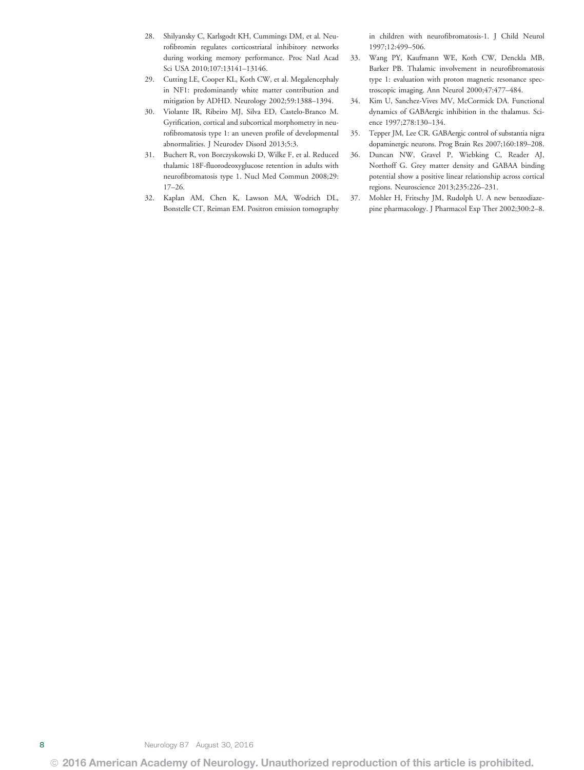- 28. Shilyansky C, Karlsgodt KH, Cummings DM, et al. Neurofibromin regulates corticostriatal inhibitory networks during working memory performance. Proc Natl Acad Sci USA 2010;107:13141–13146.
- 29. Cutting LE, Cooper KL, Koth CW, et al. Megalencephaly in NF1: predominantly white matter contribution and mitigation by ADHD. Neurology 2002;59:1388–1394.
- 30. Violante IR, Ribeiro MJ, Silva ED, Castelo-Branco M. Gyrification, cortical and subcortical morphometry in neurofibromatosis type 1: an uneven profile of developmental abnormalities. J Neurodev Disord 2013;5:3.
- 31. Buchert R, von Borczyskowski D, Wilke F, et al. Reduced thalamic 18F-fluorodeoxyglucose retention in adults with neurofibromatosis type 1. Nucl Med Commun 2008;29: 17–26.
- 32. Kaplan AM, Chen K, Lawson MA, Wodrich DL, Bonstelle CT, Reiman EM. Positron emission tomography

in children with neurofibromatosis-1. J Child Neurol 1997;12:499–506.

- 33. Wang PY, Kaufmann WE, Koth CW, Denckla MB, Barker PB. Thalamic involvement in neurofibromatosis type 1: evaluation with proton magnetic resonance spectroscopic imaging. Ann Neurol 2000;47:477–484.
- 34. Kim U, Sanchez-Vives MV, McCormick DA. Functional dynamics of GABAergic inhibition in the thalamus. Science 1997;278:130–134.
- 35. Tepper JM, Lee CR. GABAergic control of substantia nigra dopaminergic neurons. Prog Brain Res 2007;160:189–208.
- 36. Duncan NW, Gravel P, Wiebking C, Reader AJ, Northoff G. Grey matter density and GABAA binding potential show a positive linear relationship across cortical regions. Neuroscience 2013;235:226–231.
- 37. Mohler H, Fritschy JM, Rudolph U. A new benzodiazepine pharmacology. J Pharmacol Exp Ther 2002;300:2–8.